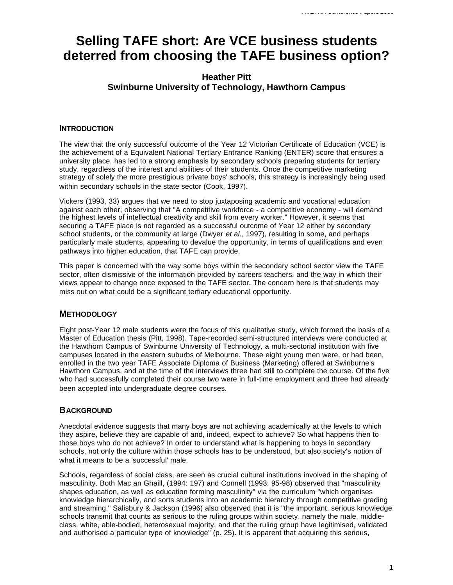# **Selling TAFE short: Are VCE business students deterred from choosing the TAFE business option?**

# **Heather Pitt Swinburne University of Technology, Hawthorn Campus**

## **INTRODUCTION**

The view that the only successful outcome of the Year 12 Victorian Certificate of Education (VCE) is the achievement of a Equivalent National Tertiary Entrance Ranking (ENTER) score that ensures a university place, has led to a strong emphasis by secondary schools preparing students for tertiary study, regardless of the interest and abilities of their students. Once the competitive marketing strategy of solely the more prestigious private boys' schools, this strategy is increasingly being used within secondary schools in the state sector (Cook, 1997).

Vickers (1993, 33) argues that we need to stop juxtaposing academic and vocational education against each other, observing that "A competitive workforce - a competitive economy - will demand the highest levels of intellectual creativity and skill from every worker." However, it seems that securing a TAFE place is not regarded as a successful outcome of Year 12 either by secondary school students, or the community at large (Dwyer *et al*., 1997), resulting in some, and perhaps particularly male students, appearing to devalue the opportunity, in terms of qualifications and even pathways into higher education, that TAFE can provide.

This paper is concerned with the way some boys within the secondary school sector view the TAFE sector, often dismissive of the information provided by careers teachers, and the way in which their views appear to change once exposed to the TAFE sector. The concern here is that students may miss out on what could be a significant tertiary educational opportunity.

# **METHODOLOGY**

Eight post-Year 12 male students were the focus of this qualitative study, which formed the basis of a Master of Education thesis (Pitt, 1998). Tape-recorded semi-structured interviews were conducted at the Hawthorn Campus of Swinburne University of Technology, a multi-sectorial institution with five campuses located in the eastern suburbs of Melbourne. These eight young men were, or had been, enrolled in the two year TAFE Associate Diploma of Business (Marketing) offered at Swinburne's Hawthorn Campus, and at the time of the interviews three had still to complete the course. Of the five who had successfully completed their course two were in full-time employment and three had already been accepted into undergraduate degree courses.

# **BACKGROUND**

Anecdotal evidence suggests that many boys are not achieving academically at the levels to which they aspire, believe they are capable of and, indeed, expect to achieve? So what happens then to those boys who do not achieve? In order to understand what is happening to boys in secondary schools, not only the culture within those schools has to be understood, but also society's notion of what it means to be a 'successful' male.

Schools, regardless of social class, are seen as crucial cultural institutions involved in the shaping of masculinity. Both Mac an Ghaill, (1994: 197) and Connell (1993: 95-98) observed that "masculinity shapes education, as well as education forming masculinity" via the curriculum "which organises knowledge hierarchically, and sorts students into an academic hierarchy through competitive grading and streaming." Salisbury & Jackson (1996) also observed that it is "the important, serious knowledge schools transmit that counts as serious to the ruling groups within society, namely the male, middleclass, white, able-bodied, heterosexual majority, and that the ruling group have legitimised, validated and authorised a particular type of knowledge" (p. 25). It is apparent that acquiring this serious,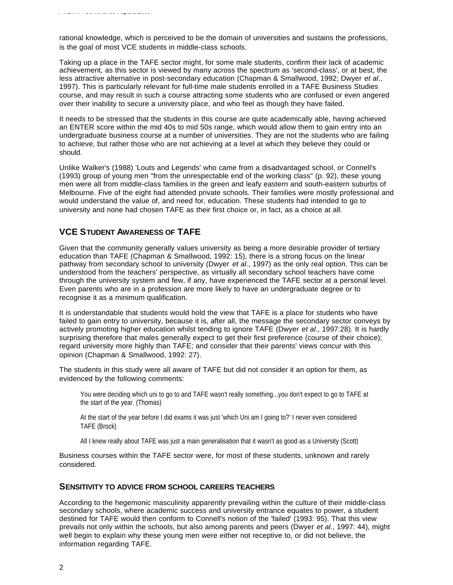rational knowledge, which is perceived to be the domain of universities and sustains the professions, is the goal of most VCE students in middle-class schools.

Taking up a place in the TAFE sector might, for some male students, confirm their lack of academic achievement, as this sector is viewed by many across the spectrum as 'second-class', or at best, the less attractive alternative in post-secondary education (Chapman & Smallwood, 1992; Dwyer *et al*., 1997). This is particularly relevant for full-time male students enrolled in a TAFE Business Studies course, and may result in such a course attracting some students who are confused or even angered over their inability to secure a university place, and who feel as though they have failed.

It needs to be stressed that the students in this course are quite academically able, having achieved an ENTER score within the mid 40s to mid 50s range, which would allow them to gain entry into an undergraduate business course at a number of universities. They are not the students who are failing to achieve, but rather those who are not achieving at a level at which they believe they could or should.

Unlike Walker's (1988) 'Louts and Legends' who came from a disadvantaged school, or Connell's (1993) group of young men "from the unrespectable end of the working class" (p. 92), these young men were all from middle-class families in the green and leafy eastern and south-eastern suburbs of Melbourne. Five of the eight had attended private schools. Their families were mostly professional and would understand the value of, and need for, education. These students had intended to go to university and none had chosen TAFE as their first choice or, in fact, as a choice at all.

# **VCE STUDENT AWARENESS OF TAFE**

Given that the community generally values university as being a more desirable provider of tertiary education than TAFE (Chapman & Smallwood, 1992: 15), there is a strong focus on the linear pathway from secondary school to university (Dwyer *et al*., 1997) as the only real option. This can be understood from the teachers' perspective, as virtually all secondary school teachers have come through the university system and few, if any, have experienced the TAFE sector at a personal level. Even parents who are in a profession are more likely to have an undergraduate degree or to recognise it as a minimum qualification.

It is understandable that students would hold the view that TAFE is a place for students who have failed to gain entry to university, because it is, after all, the message the secondary sector conveys by actively promoting higher education whilst tending to ignore TAFE (Dwyer *et al*., 1997:28). It is hardly surprising therefore that males generally expect to get their first preference (course of their choice); regard university more highly than TAFE; and consider that their parents' views concur with this opinion (Chapman & Smallwood, 1992: 27).

The students in this study were all aware of TAFE but did not consider it an option for them, as evidenced by the following comments:

You were deciding which uni to go to and TAFE wasn't really something...you don't expect to go to TAFE at the start of the year. (Thomas)

At the start of the year before I did exams it was just 'which Uni am I going to?' I never even considered TAFE (Brock)

All I knew really about TAFE was just a main generalisation that it wasn't as good as a University (Scott)

Business courses within the TAFE sector were, for most of these students, unknown and rarely considered.

## **SENSITIVITY TO ADVICE FROM SCHOOL CAREERS TEACHERS**

According to the hegemonic masculinity apparently prevailing within the culture of their middle-class secondary schools, where academic success and university entrance equates to power, a student destined for TAFE would then conform to Connell's notion of the 'failed' (1993: 95). That this view prevails not only within the schools, but also among parents and peers (Dwyer *et al*., 1997: 44), might well begin to explain why these young men were either not receptive to, or did not believe, the information regarding TAFE.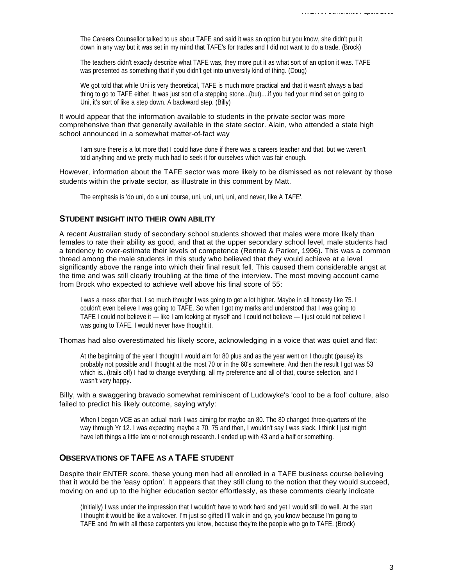The Careers Counsellor talked to us about TAFE and said it was an option but you know, she didn't put it down in any way but it was set in my mind that TAFE's for trades and I did not want to do a trade. (Brock)

The teachers didn't exactly describe what TAFE was, they more put it as what sort of an option it was. TAFE was presented as something that if you didn't get into university kind of thing. (Doug)

We got told that while Uni is very theoretical, TAFE is much more practical and that it wasn't always a bad thing to go to TAFE either. It was just sort of a stepping stone...(but)....if you had your mind set on going to Uni, it's sort of like a step down. A backward step. (Billy)

#### It would appear that the information available to students in the private sector was more comprehensive than that generally available in the state sector. Alain, who attended a state high school announced in a somewhat matter-of-fact way

I am sure there is a lot more that I could have done if there was a careers teacher and that, but we weren't told anything and we pretty much had to seek it for ourselves which was fair enough.

However, information about the TAFE sector was more likely to be dismissed as not relevant by those students within the private sector, as illustrate in this comment by Matt.

The emphasis is 'do uni, do a uni course, uni, uni, uni, uni, and never, like A TAFE'.

## **STUDENT INSIGHT INTO THEIR OWN ABILITY**

A recent Australian study of secondary school students showed that males were more likely than females to rate their ability as good, and that at the upper secondary school level, male students had a tendency to over-estimate their levels of competence (Rennie & Parker, 1996). This was a common thread among the male students in this study who believed that they would achieve at a level significantly above the range into which their final result fell. This caused them considerable angst at the time and was still clearly troubling at the time of the interview. The most moving account came from Brock who expected to achieve well above his final score of 55:

I was a mess after that. I so much thought I was going to get a lot higher. Maybe in all honesty like 75. I couldn't even believe I was going to TAFE. So when I got my marks and understood that I was going to TAFE I could not believe it — like I am looking at myself and I could not believe — I just could not believe I was going to TAFE. I would never have thought it.

#### Thomas had also overestimated his likely score, acknowledging in a voice that was quiet and flat:

At the beginning of the year I thought I would aim for 80 plus and as the year went on I thought (pause) its probably not possible and I thought at the most 70 or in the 60's somewhere. And then the result I got was 53 which is...(trails off) I had to change everything, all my preference and all of that, course selection, and I wasn't very happy.

#### Billy, with a swaggering bravado somewhat reminiscent of Ludowyke's 'cool to be a fool' culture, also failed to predict his likely outcome, saying wryly:

When I began VCE as an actual mark I was aiming for maybe an 80. The 80 changed three-quarters of the way through Yr 12. I was expecting maybe a 70, 75 and then, I wouldn't say I was slack, I think I just might have left things a little late or not enough research. I ended up with 43 and a half or something.

## **OBSERVATIONS OF TAFE AS A TAFE STUDENT**

Despite their ENTER score, these young men had all enrolled in a TAFE business course believing that it would be the 'easy option'. It appears that they still clung to the notion that they would succeed, moving on and up to the higher education sector effortlessly, as these comments clearly indicate

(Initially) I was under the impression that I wouldn't have to work hard and yet I would still do well. At the start I thought it would be like a walkover. I'm just so gifted I'll walk in and go, you know because I'm going to TAFE and I'm with all these carpenters you know, because they're the people who go to TAFE. (Brock)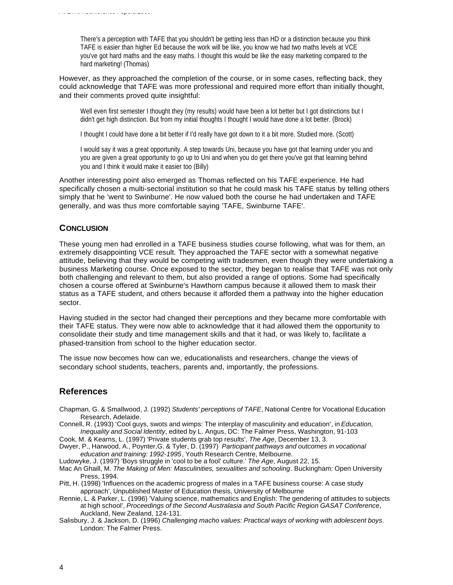There's a perception with TAFE that you shouldn't be getting less than HD or a distinction because you think TAFE is easier than higher Ed because the work will be like, you know we had two maths levels at VCE you've got hard maths and the easy maths. I thought this would be like the easy marketing compared to the hard marketing! (Thomas)

However, as they approached the completion of the course, or in some cases, reflecting back, they could acknowledge that TAFE was more professional and required more effort than initially thought, and their comments proved quite insightful:

Well even first semester I thought they (my results) would have been a lot better but I got distinctions but I didn't get high distinction. But from my initial thoughts I thought I would have done a lot better. (Brock)

I thought I could have done a bit better if I'd really have got down to it a bit more. Studied more. (Scott)

I would say it was a great opportunity. A step towards Uni, because you have got that learning under you and you are given a great opportunity to go up to Uni and when you do get there you've got that learning behind you and I think it would make it easier too (Billy)

Another interesting point also emerged as Thomas reflected on his TAFE experience. He had specifically chosen a multi-sectorial institution so that he could mask his TAFE status by telling others simply that he 'went to Swinburne'. He now valued both the course he had undertaken and TAFE generally, and was thus more comfortable saying 'TAFE, Swinburne TAFE'.

#### **CONCLUSION**

These young men had enrolled in a TAFE business studies course following, what was for them, an extremely disappointing VCE result. They approached the TAFE sector with a somewhat negative attitude, believing that they would be competing with tradesmen, even though they were undertaking a business Marketing course. Once exposed to the sector, they began to realise that TAFE was not only both challenging and relevant to them, but also provided a range of options. Some had specifically chosen a course offered at Swinburne's Hawthorn campus because it allowed them to mask their status as a TAFE student, and others because it afforded them a pathway into the higher education sector.

Having studied in the sector had changed their perceptions and they became more comfortable with their TAFE status. They were now able to acknowledge that it had allowed them the opportunity to consolidate their study and time management skills and that it had, or was likely to, facilitate a phased-transition from school to the higher education sector.

The issue now becomes how can we, educationalists and researchers, change the views of secondary school students, teachers, parents and, importantly, the professions.

## **References**

- Chapman, G. & Smallwood, J. (1992) *Students' perceptions of TAFE*, National Centre for Vocational Education Research, Adelaide.
- Connell, R. (1993) 'Cool guys, swots and wimps: The interplay of masculinity and education', in *Education, Inequality and Social Identity*, edited by L. Angus, DC: The Falmer Press, Washington, 91-103

Cook, M. & Kearns, L. (1997) 'Private students grab top results', *The Age*, December 13, 3.

- Dwyer, P., Harwood, A., Poynter,G. & Tyler, D. (1997) *Participant pathways and outcomes in vocational education and training: 1992-1995*, Youth Research Centre, Melbourne.
- Ludowyke, J. (1997) 'Boys struggle in 'cool to be a fool' culture.' *The Age*, August 22, 15.
- Mac An Ghaill, M. *The Making of Men: Masculinities, sexualities and schooling*. Buckingham: Open University Press, 1994.
- Pitt, H. (1998) 'Influences on the academic progress of males in a TAFE business course: A case study approach', Unpublished Master of Education thesis, University of Melbourne
- Rennie, L. & Parker, L. (1996) 'Valuing science, mathematics and English: The gendering of attitudes to subjects at high school', *Proceedings of the Second Australasia and South Pacific Region GASAT Conference*, Auckland, New Zealand, 124-131.
- Salisbury, J. & Jackson, D. (1996) *Challenging macho values: Practical ways of working with adolescent boys*. London: The Falmer Press.